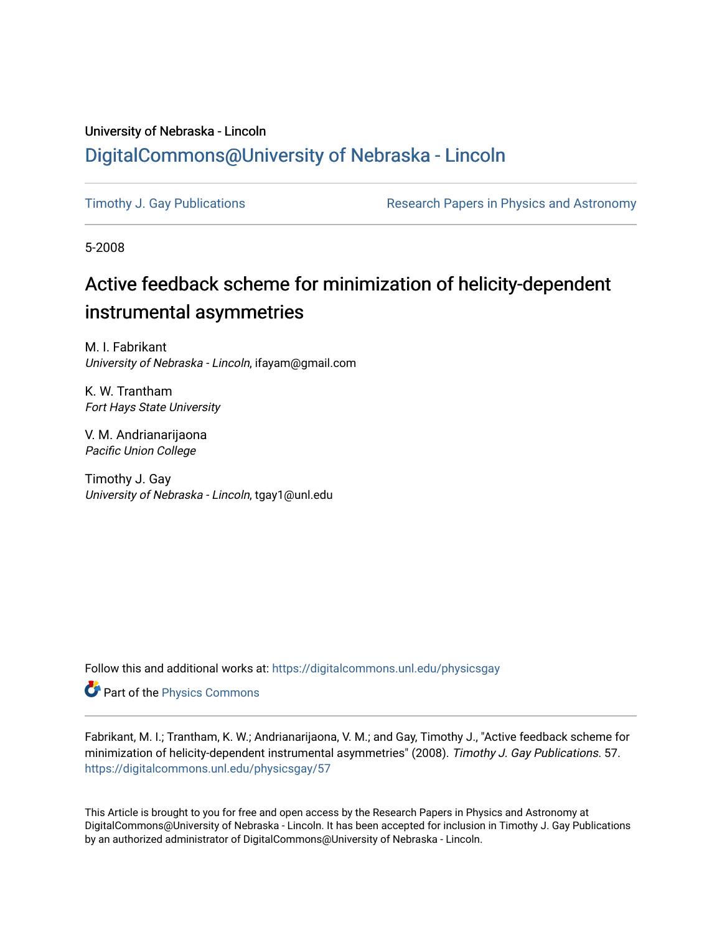# University of Nebraska - Lincoln [DigitalCommons@University of Nebraska - Lincoln](https://digitalcommons.unl.edu/)

[Timothy J. Gay Publications](https://digitalcommons.unl.edu/physicsgay) **Research Papers in Physics and Astronomy** 

5-2008

# Active feedback scheme for minimization of helicity-dependent instrumental asymmetries

M. I. Fabrikant University of Nebraska - Lincoln, ifayam@gmail.com

K. W. Trantham Fort Hays State University

V. M. Andrianarijaona Pacific Union College

Timothy J. Gay University of Nebraska - Lincoln, tgay1@unl.edu

Follow this and additional works at: [https://digitalcommons.unl.edu/physicsgay](https://digitalcommons.unl.edu/physicsgay?utm_source=digitalcommons.unl.edu%2Fphysicsgay%2F57&utm_medium=PDF&utm_campaign=PDFCoverPages)

Part of the [Physics Commons](http://network.bepress.com/hgg/discipline/193?utm_source=digitalcommons.unl.edu%2Fphysicsgay%2F57&utm_medium=PDF&utm_campaign=PDFCoverPages)

Fabrikant, M. I.; Trantham, K. W.; Andrianarijaona, V. M.; and Gay, Timothy J., "Active feedback scheme for minimization of helicity-dependent instrumental asymmetries" (2008). Timothy J. Gay Publications. 57. [https://digitalcommons.unl.edu/physicsgay/57](https://digitalcommons.unl.edu/physicsgay/57?utm_source=digitalcommons.unl.edu%2Fphysicsgay%2F57&utm_medium=PDF&utm_campaign=PDFCoverPages) 

This Article is brought to you for free and open access by the Research Papers in Physics and Astronomy at DigitalCommons@University of Nebraska - Lincoln. It has been accepted for inclusion in Timothy J. Gay Publications by an authorized administrator of DigitalCommons@University of Nebraska - Lincoln.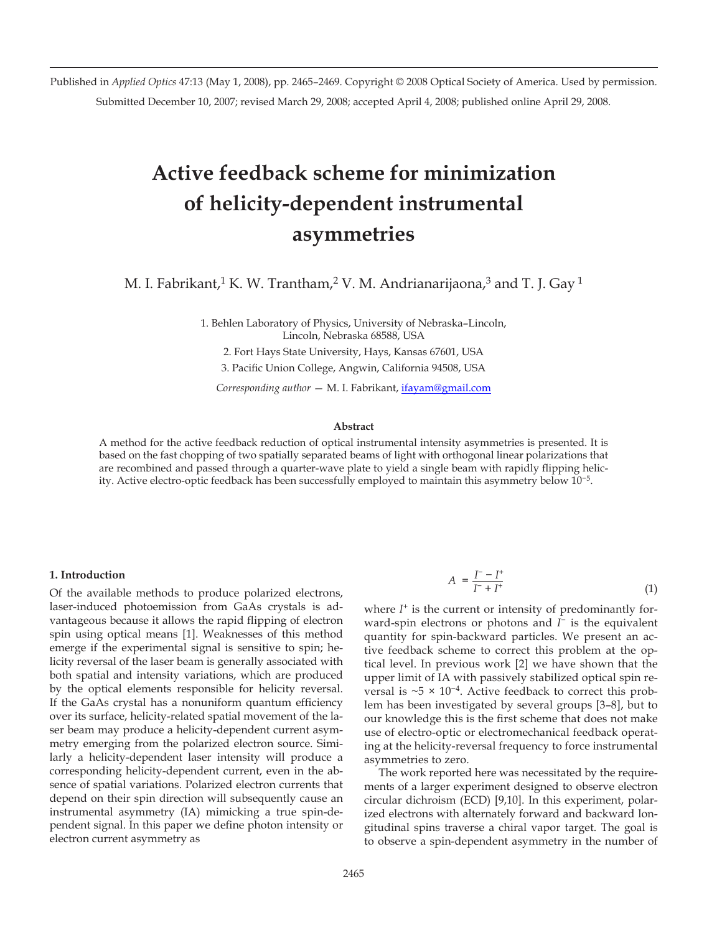Published in *Applied Optics* 47:13 (May 1, 2008), pp. 2465–2469. Copyright © 2008 Optical Society of America. Used by permission. Submitted December 10, 2007; revised March 29, 2008; accepted April 4, 2008; published online April 29, 2008.

# **Active feedback scheme for minimization of helicity-dependent instrumental asymmetries**

M. I. Fabrikant,<sup>1</sup> K. W. Trantham,<sup>2</sup> V. M. Andrianarijaona,<sup>3</sup> and T. J. Gay<sup>1</sup>

1. Behlen Laboratory of Physics, University of Nebraska–Lincoln, Lincoln, Nebraska 68588, USA

2. Fort Hays State University, Hays, Kansas 67601, USA

3. Pacific Union College, Angwin, California 94508, USA

*Corresponding author* — M. I. Fabrikant, ifayam@gmail.com

# **Abstract**

A method for the active feedback reduction of optical instrumental intensity asymmetries is presented. It is based on the fast chopping of two spatially separated beams of light with orthogonal linear polarizations that are recombined and passed through a quarter-wave plate to yield a single beam with rapidly flipping helicity. Active electro-optic feedback has been successfully employed to maintain this asymmetry below 10−5.

# **1. Introduction**

Of the available methods to produce polarized electrons, laser-induced photoemission from GaAs crystals is advantageous because it allows the rapid flipping of electron spin using optical means [1]. Weaknesses of this method emerge if the experimental signal is sensitive to spin; helicity reversal of the laser beam is generally associated with both spatial and intensity variations, which are produced by the optical elements responsible for helicity reversal. If the GaAs crystal has a nonuniform quantum efficiency over its surface, helicity-related spatial movement of the laser beam may produce a helicity-dependent current asymmetry emerging from the polarized electron source. Similarly a helicity-dependent laser intensity will produce a corresponding helicity-dependent current, even in the absence of spatial variations. Polarized electron currents that depend on their spin direction will subsequently cause an instrumental asymmetry (IA) mimicking a true spin-dependent signal. In this paper we define photon intensity or electron current asymmetry as

$$
A = \frac{I^- - I^+}{I^- + I^+}
$$
 (1)

where  $I^+$  is the current or intensity of predominantly forward-spin electrons or photons and *I*<sup>−</sup> is the equivalent quantity for spin-backward particles. We present an active feedback scheme to correct this problem at the optical level. In previous work [2] we have shown that the upper limit of IA with passively stabilized optical spin reversal is ~5 × 10−4. Active feedback to correct this problem has been investigated by several groups [3–8], but to our knowledge this is the first scheme that does not make use of electro-optic or electromechanical feedback operating at the helicity-reversal frequency to force instrumental asymmetries to zero.

The work reported here was necessitated by the requirements of a larger experiment designed to observe electron circular dichroism (ECD) [9,10]. In this experiment, polarized electrons with alternately forward and backward longitudinal spins traverse a chiral vapor target. The goal is to observe a spin-dependent asymmetry in the number of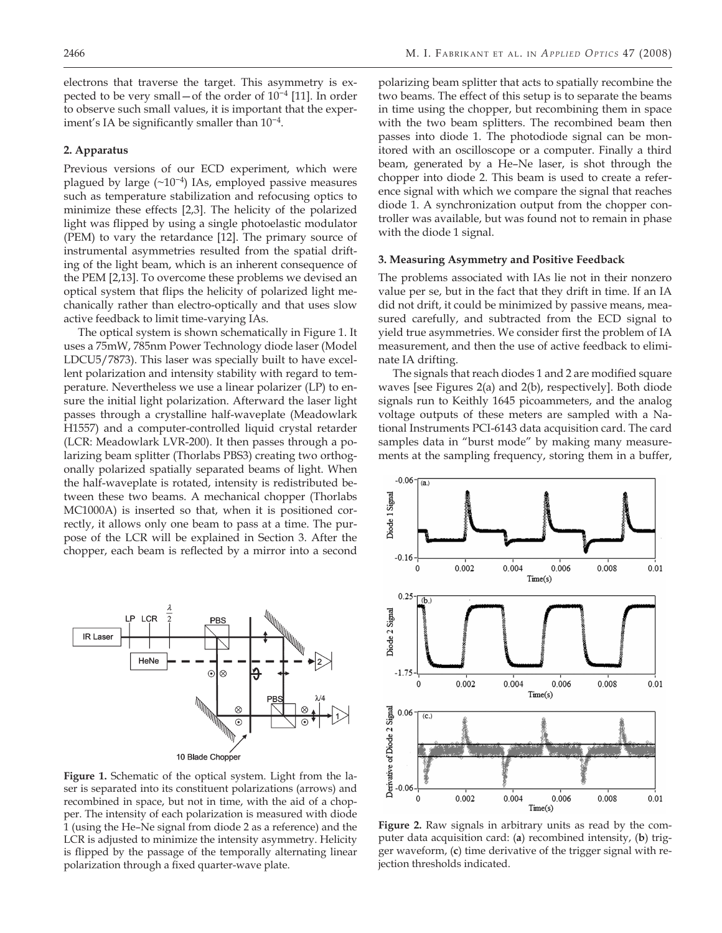electrons that traverse the target. This asymmetry is expected to be very small—of the order of 10−4 [11]. In order to observe such small values, it is important that the experiment's IA be significantly smaller than 10−4.

# **2. Apparatus**

Previous versions of our ECD experiment, which were plagued by large (~10−4) IAs, employed passive measures such as temperature stabilization and refocusing optics to minimize these effects [2,3]. The helicity of the polarized light was flipped by using a single photoelastic modulator (PEM) to vary the retardance [12]. The primary source of instrumental asymmetries resulted from the spatial drifting of the light beam, which is an inherent consequence of the PEM [2,13]. To overcome these problems we devised an optical system that flips the helicity of polarized light mechanically rather than electro-optically and that uses slow active feedback to limit time-varying IAs.

The optical system is shown schematically in Figure 1. It uses a 75mW, 785nm Power Technology diode laser (Model LDCU5/7873). This laser was specially built to have excellent polarization and intensity stability with regard to temperature. Nevertheless we use a linear polarizer (LP) to ensure the initial light polarization. Afterward the laser light passes through a crystalline half-waveplate (Meadowlark H1557) and a computer-controlled liquid crystal retarder (LCR: Meadowlark LVR-200). It then passes through a polarizing beam splitter (Thorlabs PBS3) creating two orthogonally polarized spatially separated beams of light. When the half-waveplate is rotated, intensity is redistributed between these two beams. A mechanical chopper (Thorlabs MC1000A) is inserted so that, when it is positioned correctly, it allows only one beam to pass at a time. The purpose of the LCR will be explained in Section 3. After the chopper, each beam is reflected by a mirror into a second



**Figure 1.** Schematic of the optical system. Light from the laser is separated into its constituent polarizations (arrows) and recombined in space, but not in time, with the aid of a chopper. The intensity of each polarization is measured with diode 1 (using the He–Ne signal from diode 2 as a reference) and the LCR is adjusted to minimize the intensity asymmetry. Helicity is flipped by the passage of the temporally alternating linear polarization through a fixed quarter-wave plate.

polarizing beam splitter that acts to spatially recombine the two beams. The effect of this setup is to separate the beams in time using the chopper, but recombining them in space with the two beam splitters. The recombined beam then passes into diode 1. The photodiode signal can be monitored with an oscilloscope or a computer. Finally a third beam, generated by a He–Ne laser, is shot through the chopper into diode 2. This beam is used to create a reference signal with which we compare the signal that reaches diode 1. A synchronization output from the chopper controller was available, but was found not to remain in phase with the diode 1 signal.

#### **3. Measuring Asymmetry and Positive Feedback**

The problems associated with IAs lie not in their nonzero value per se, but in the fact that they drift in time. If an IA did not drift, it could be minimized by passive means, measured carefully, and subtracted from the ECD signal to yield true asymmetries. We consider first the problem of IA measurement, and then the use of active feedback to eliminate IA drifting.

The signals that reach diodes 1 and 2 are modified square waves [see Figures 2(a) and 2(b), respectively]. Both diode signals run to Keithly 1645 picoammeters, and the analog voltage outputs of these meters are sampled with a National Instruments PCI-6143 data acquisition card. The card samples data in "burst mode" by making many measurements at the sampling frequency, storing them in a buffer,



**Figure 2.** Raw signals in arbitrary units as read by the computer data acquisition card: (**a**) recombined intensity, (**b**) trigger waveform, (**c**) time derivative of the trigger signal with rejection thresholds indicated.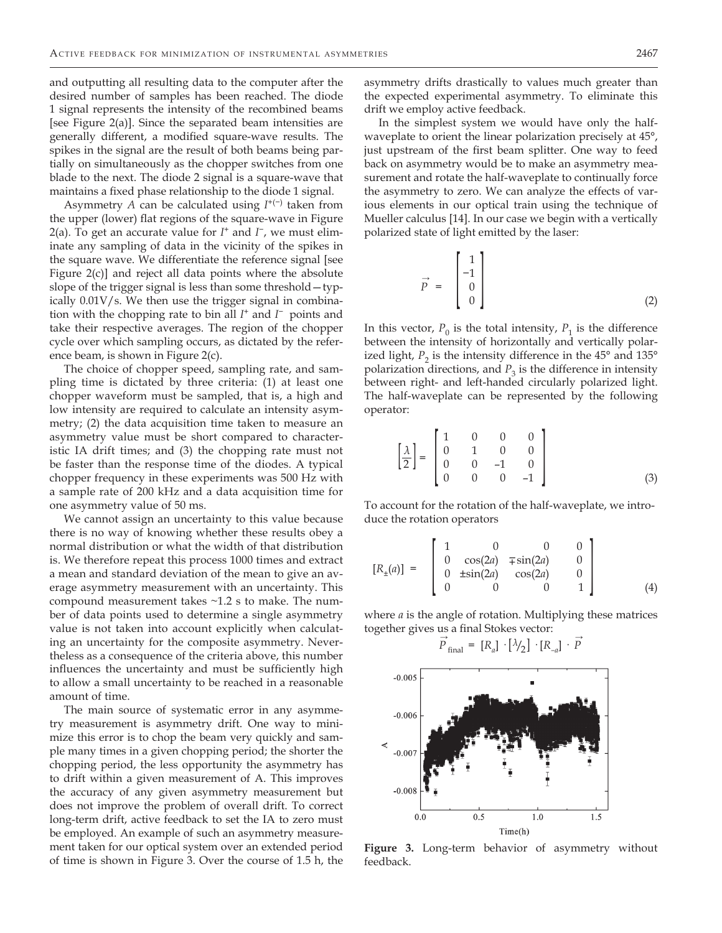and outputting all resulting data to the computer after the desired number of samples has been reached. The diode 1 signal represents the intensity of the recombined beams [see Figure 2(a)]. Since the separated beam intensities are generally different, a modified square-wave results. The spikes in the signal are the result of both beams being partially on simultaneously as the chopper switches from one blade to the next. The diode 2 signal is a square-wave that maintains a fixed phase relationship to the diode 1 signal.

Asymmetry *A* can be calculated using *I*+(−) taken from the upper (lower) flat regions of the square-wave in Figure 2(a). To get an accurate value for *I*<sup>+</sup> and *I*<sup>−</sup>, we must eliminate any sampling of data in the vicinity of the spikes in the square wave. We differentiate the reference signal [see Figure 2(c)] and reject all data points where the absolute slope of the trigger signal is less than some threshold—typically 0.01V/s. We then use the trigger signal in combination with the chopping rate to bin all *I*+ and *I* <sup>−</sup>points and take their respective averages. The region of the chopper cycle over which sampling occurs, as dictated by the reference beam, is shown in Figure 2(c).

The choice of chopper speed, sampling rate, and sampling time is dictated by three criteria: (1) at least one chopper waveform must be sampled, that is, a high and low intensity are required to calculate an intensity asymmetry; (2) the data acquisition time taken to measure an asymmetry value must be short compared to characteristic IA drift times; and (3) the chopping rate must not be faster than the response time of the diodes. A typical chopper frequency in these experiments was 500 Hz with a sample rate of 200 kHz and a data acquisition time for one asymmetry value of 50 ms.

We cannot assign an uncertainty to this value because there is no way of knowing whether these results obey a normal distribution or what the width of that distribution is. We therefore repeat this process 1000 times and extract a mean and standard deviation of the mean to give an average asymmetry measurement with an uncertainty. This compound measurement takes ~1.2 s to make. The number of data points used to determine a single asymmetry value is not taken into account explicitly when calculating an uncertainty for the composite asymmetry. Nevertheless as a consequence of the criteria above, this number influences the uncertainty and must be sufficiently high to allow a small uncertainty to be reached in a reasonable amount of time.

The main source of systematic error in any asymmetry measurement is asymmetry drift. One way to minimize this error is to chop the beam very quickly and sample many times in a given chopping period; the shorter the chopping period, the less opportunity the asymmetry has to drift within a given measurement of A. This improves the accuracy of any given asymmetry measurement but does not improve the problem of overall drift. To correct long-term drift, active feedback to set the IA to zero must be employed. An example of such an asymmetry measurement taken for our optical system over an extended period of time is shown in Figure 3. Over the course of 1.5 h, the

asymmetry drifts drastically to values much greater than the expected experimental asymmetry. To eliminate this drift we employ active feedback.

In the simplest system we would have only the halfwaveplate to orient the linear polarization precisely at 45°, just upstream of the first beam splitter. One way to feed back on asymmetry would be to make an asymmetry measurement and rotate the half-waveplate to continually force the asymmetry to zero. We can analyze the effects of various elements in our optical train using the technique of Mueller calculus [14]. In our case we begin with a vertically polarized state of light emitted by the laser:

$$
\vec{P} = \begin{bmatrix} 1 \\ -1 \\ 0 \\ 0 \end{bmatrix}
$$
 (2)

In this vector,  $P_0$  is the total intensity,  $P_1$  is the difference between the intensity of horizontally and vertically polarized light,  $P_2$  is the intensity difference in the 45 $\degree$  and 135 $\degree$ polarization directions, and  $P_3$  is the difference in intensity between right- and left-handed circularly polarized light. The half-waveplate can be represented by the following operator:

$$
\left[\frac{\lambda}{2}\right] = \begin{bmatrix} 1 & 0 & 0 & 0 \\ 0 & 1 & 0 & 0 \\ 0 & 0 & -1 & 0 \\ 0 & 0 & 0 & -1 \end{bmatrix}
$$
 (3)

To account for the rotation of the half-waveplate, we introduce the rotation operators

$$
[R_{\pm}(a)] = \begin{bmatrix} 1 & 0 & 0 & 0 \\ 0 & \cos(2a) & \mp \sin(2a) & 0 \\ 0 & \pm \sin(2a) & \cos(2a) & 0 \\ 0 & 0 & 0 & 1 \end{bmatrix}
$$
(4)

where *a* is the angle of rotation. Multiplying these matrices together gives us a final Stokes vector:<br>  $\rightarrow$ 

$$
\vec{P}_{\text{final}} = [R_a] \cdot [\lambda/2] \cdot [R_{-a}] \cdot \vec{P}
$$



**Figure 3.** Long-term behavior of asymmetry without feedback.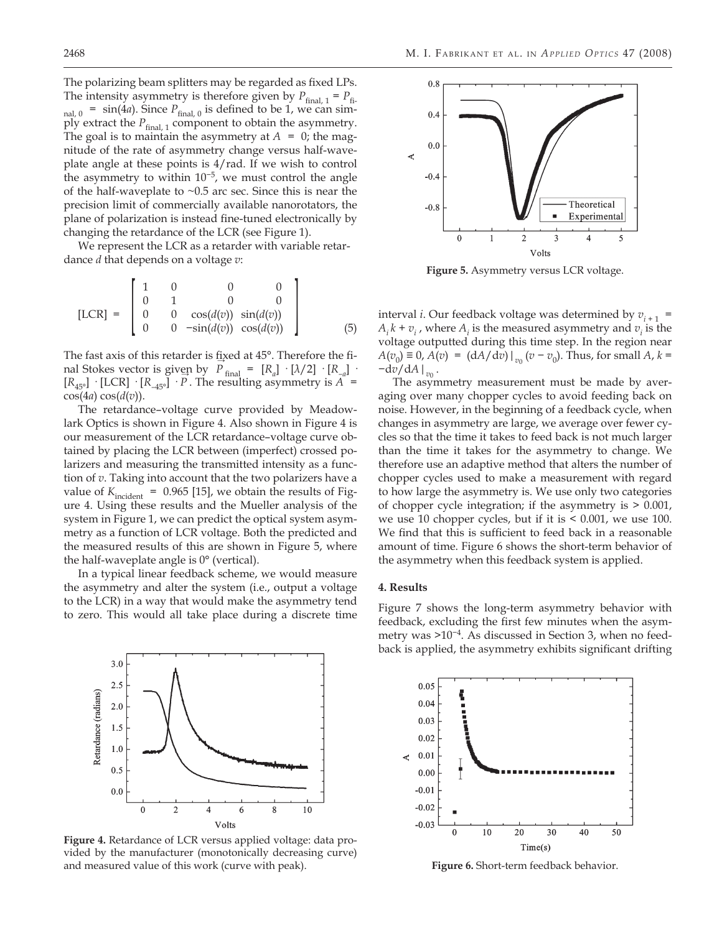The polarizing beam splitters may be regarded as fixed LPs. The intensity asymmetry is therefore given by  $P_{final, 1} = P_{fi}$  $_{\text{nal, 0}}$  = sin(4*a*). Since  $P_{\text{final, 0}}$  is defined to be 1, we can simply extract the  $P_{final, 1}$  component to obtain the asymmetry. The goal is to maintain the asymmetry at  $A = 0$ ; the magnitude of the rate of asymmetry change versus half-waveplate angle at these points is 4/rad. If we wish to control the asymmetry to within  $10^{-5}$ , we must control the angle of the half-waveplate to  $\sim 0.5$  arc sec. Since this is near the precision limit of commercially available nanorotators, the plane of polarization is instead fine-tuned electronically by changing the retardance of the LCR (see Figure 1).

We represent the LCR as a retarder with variable retardance *d* that depends on a voltage *v*:

[LCR] = 
$$
\begin{bmatrix} 1 & 0 & 0 & 0 \ 0 & 1 & 0 & 0 \ 0 & 0 & \cos(d(v)) & \sin(d(v)) \ 0 & 0 & -\sin(d(v)) & \cos(d(v)) \end{bmatrix}
$$
 (5)

The fast axis of this retarder is fixed at 45°. Therefore the final Stokes vector is given by  $P_{\text{final}} = [R_a] \cdot [\lambda/2] \cdot [R_{-a}]$ .  $[R_{45^{\circ}}]$  · [LCR] ·  $[R_{-45^{\circ}}]$  · *P*. The resulting asymmetry is *A* =  $cos(4a) cos(d(v)).$ 

The retardance–voltage curve provided by Meadowlark Optics is shown in Figure 4. Also shown in Figure 4 is our measurement of the LCR retardance–voltage curve obtained by placing the LCR between (imperfect) crossed polarizers and measuring the transmitted intensity as a function of *v*. Taking into account that the two polarizers have a value of  $K<sub>incident</sub> = 0.965$  [15], we obtain the results of Figure 4. Using these results and the Mueller analysis of the system in Figure 1, we can predict the optical system asymmetry as a function of LCR voltage. Both the predicted and the measured results of this are shown in Figure 5, where the half-waveplate angle is 0° (vertical).

In a typical linear feedback scheme, we would measure the asymmetry and alter the system (i.e., output a voltage to the LCR) in a way that would make the asymmetry tend to zero. This would all take place during a discrete time

> 3.0 2.5

> $2.0$

1.5

1.0

 $0.5$ 

 $0.0$ 

 $\theta$ 

 $\overline{2}$ 

Retardance (radians)



 $\,8\,$ 

6

 $10\,$ 



**Figure 5.** Asymmetry versus LCR voltage.

interval *i*. Our feedback voltage was determined by  $v_{i+1}$  =  $A_i k + v_i$ , where  $A_i$  is the measured asymmetry and  $v_i$  is the voltage outputted during this time step. In the region near  $A(v_0) \equiv 0$ ,  $A(v) = (dA/dv)|_{v_0} (v - v_0)$ . Thus, for small  $A$ ,  $k =$ −d*v*/d*A|v*<sup>0</sup> .

The asymmetry measurement must be made by averaging over many chopper cycles to avoid feeding back on noise. However, in the beginning of a feedback cycle, when changes in asymmetry are large, we average over fewer cycles so that the time it takes to feed back is not much larger than the time it takes for the asymmetry to change. We therefore use an adaptive method that alters the number of chopper cycles used to make a measurement with regard to how large the asymmetry is. We use only two categories of chopper cycle integration; if the asymmetry is > 0.001, we use 10 chopper cycles, but if it is < 0.001, we use 100. We find that this is sufficient to feed back in a reasonable amount of time. Figure 6 shows the short-term behavior of the asymmetry when this feedback system is applied.

#### **4. Results**

Figure 7 shows the long-term asymmetry behavior with feedback, excluding the first few minutes when the asymmetry was >10−4. As discussed in Section 3, when no feedback is applied, the asymmetry exhibits significant drifting



**Figure 6.** Short-term feedback behavior.